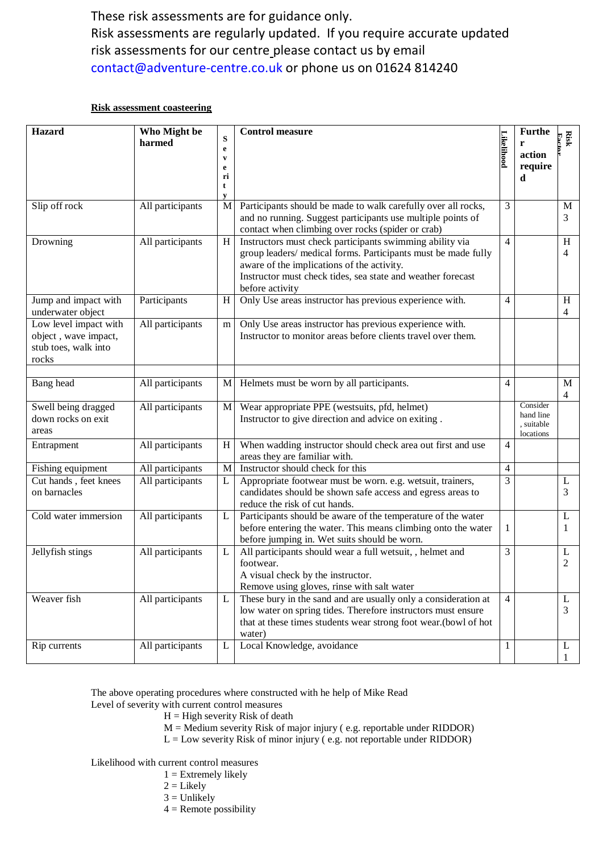These risk assessments are for guidance only. Risk assessments are regularly updated. If you require accurate updated risk assessments for our centre please contact us by email [contact@adventure-centre.co.uk](mailto:contact@adventure-centre.co.uk) or phone us on 01624 814240

## **Risk assessment coasteering**

| Hazard                                                                         | Who Might be<br>harmed | ${\bf S}$<br>$\mathbf e$<br>$\mathbf{v}$<br>e<br>ri<br>t<br>V | <b>Control measure</b>                                                                                                                                                                                                                                    | Likelihood     | <b>Furthe</b><br>r<br>action<br>require<br>d     | <b>Risk</b>         |
|--------------------------------------------------------------------------------|------------------------|---------------------------------------------------------------|-----------------------------------------------------------------------------------------------------------------------------------------------------------------------------------------------------------------------------------------------------------|----------------|--------------------------------------------------|---------------------|
| Slip off rock                                                                  | All participants       | M                                                             | Participants should be made to walk carefully over all rocks,<br>and no running. Suggest participants use multiple points of<br>contact when climbing over rocks (spider or crab)                                                                         | 3              |                                                  | M<br>3              |
| Drowning                                                                       | All participants       | H                                                             | Instructors must check participants swimming ability via<br>group leaders/ medical forms. Participants must be made fully<br>aware of the implications of the activity.<br>Instructor must check tides, sea state and weather forecast<br>before activity | 4              |                                                  | H<br>4              |
| Jump and impact with<br>underwater object                                      | Participants           | H                                                             | Only Use areas instructor has previous experience with.                                                                                                                                                                                                   | 4              |                                                  | H<br>4              |
| Low level impact with<br>object, wave impact,<br>stub toes, walk into<br>rocks | All participants       | m                                                             | Only Use areas instructor has previous experience with.<br>Instructor to monitor areas before clients travel over them.                                                                                                                                   |                |                                                  |                     |
| Bang head                                                                      | All participants       | M                                                             | Helmets must be worn by all participants.                                                                                                                                                                                                                 | 4              |                                                  | M<br>$\overline{4}$ |
| Swell being dragged<br>down rocks on exit<br>areas                             | All participants       | M                                                             | Wear appropriate PPE (westsuits, pfd, helmet)<br>Instructor to give direction and advice on exiting.                                                                                                                                                      |                | Consider<br>hand line<br>, suitable<br>locations |                     |
| Entrapment                                                                     | All participants       | H                                                             | When wadding instructor should check area out first and use<br>areas they are familiar with.                                                                                                                                                              | 4              |                                                  |                     |
| Fishing equipment                                                              | All participants       | M                                                             | Instructor should check for this                                                                                                                                                                                                                          | 4              |                                                  |                     |
| Cut hands, feet knees<br>on barnacles                                          | All participants       | L                                                             | Appropriate footwear must be worn. e.g. wetsuit, trainers,<br>candidates should be shown safe access and egress areas to<br>reduce the risk of cut hands.                                                                                                 | 3              |                                                  | L<br>3              |
| Cold water immersion                                                           | All participants       | L                                                             | Participants should be aware of the temperature of the water<br>before entering the water. This means climbing onto the water<br>before jumping in. Wet suits should be worn.                                                                             | 1              |                                                  | L<br>1              |
| Jellyfish stings                                                               | All participants       | L                                                             | All participants should wear a full wetsuit, , helmet and<br>footwear.<br>A visual check by the instructor.<br>Remove using gloves, rinse with salt water                                                                                                 | 3              |                                                  | L<br>$\overline{2}$ |
| Weaver fish                                                                    | All participants       | L                                                             | These bury in the sand and are usually only a consideration at<br>low water on spring tides. Therefore instructors must ensure<br>that at these times students wear strong foot wear.(bowl of hot<br>water)                                               | $\overline{4}$ |                                                  | L<br>3              |
| Rip currents                                                                   | All participants       | L                                                             | Local Knowledge, avoidance                                                                                                                                                                                                                                | 1              |                                                  | L                   |

The above operating procedures where constructed with he help of Mike Read

## Level of severity with current control measures

- $H = High$  severity Risk of death
- M = Medium severity Risk of major injury ( e.g. reportable under RIDDOR)
- L = Low severity Risk of minor injury ( e.g. not reportable under RIDDOR)

Likelihood with current control measures

- $1 =$  Extremely likely
- $2 =$  Likely
- $3 =$  Unlikely
- $4$  = Remote possibility